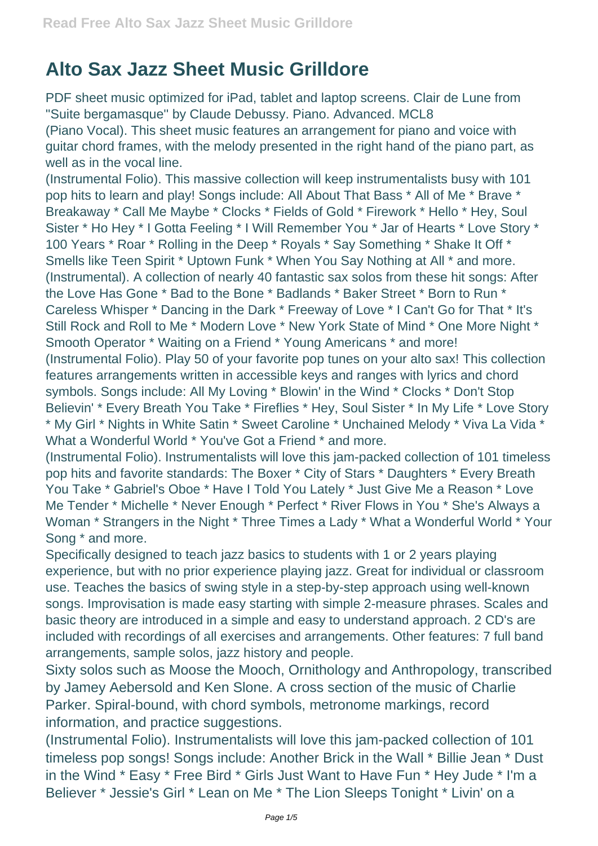## **Alto Sax Jazz Sheet Music Grilldore**

PDF sheet music optimized for iPad, tablet and laptop screens. Clair de Lune from ''Suite bergamasque'' by Claude Debussy. Piano. Advanced. MCL8 (Piano Vocal). This sheet music features an arrangement for piano and voice with guitar chord frames, with the melody presented in the right hand of the piano part, as well as in the vocal line.

(Instrumental Folio). This massive collection will keep instrumentalists busy with 101 pop hits to learn and play! Songs include: All About That Bass \* All of Me \* Brave \* Breakaway \* Call Me Maybe \* Clocks \* Fields of Gold \* Firework \* Hello \* Hey, Soul Sister \* Ho Hey \* I Gotta Feeling \* I Will Remember You \* Jar of Hearts \* Love Story \* 100 Years \* Roar \* Rolling in the Deep \* Royals \* Say Something \* Shake It Off \* Smells like Teen Spirit \* Uptown Funk \* When You Say Nothing at All \* and more. (Instrumental). A collection of nearly 40 fantastic sax solos from these hit songs: After the Love Has Gone \* Bad to the Bone \* Badlands \* Baker Street \* Born to Run \* Careless Whisper \* Dancing in the Dark \* Freeway of Love \* I Can't Go for That \* It's Still Rock and Roll to Me \* Modern Love \* New York State of Mind \* One More Night \* Smooth Operator \* Waiting on a Friend \* Young Americans \* and more! (Instrumental Folio). Play 50 of your favorite pop tunes on your alto sax! This collection features arrangements written in accessible keys and ranges with lyrics and chord symbols. Songs include: All My Loving \* Blowin' in the Wind \* Clocks \* Don't Stop Believin' \* Every Breath You Take \* Fireflies \* Hey, Soul Sister \* In My Life \* Love Story \* My Girl \* Nights in White Satin \* Sweet Caroline \* Unchained Melody \* Viva La Vida \* What a Wonderful World \* You've Got a Friend \* and more.

(Instrumental Folio). Instrumentalists will love this jam-packed collection of 101 timeless pop hits and favorite standards: The Boxer \* City of Stars \* Daughters \* Every Breath You Take \* Gabriel's Oboe \* Have I Told You Lately \* Just Give Me a Reason \* Love Me Tender \* Michelle \* Never Enough \* Perfect \* River Flows in You \* She's Always a Woman \* Strangers in the Night \* Three Times a Lady \* What a Wonderful World \* Your Song \* and more.

Specifically designed to teach jazz basics to students with 1 or 2 years playing experience, but with no prior experience playing jazz. Great for individual or classroom use. Teaches the basics of swing style in a step-by-step approach using well-known songs. Improvisation is made easy starting with simple 2-measure phrases. Scales and basic theory are introduced in a simple and easy to understand approach. 2 CD's are included with recordings of all exercises and arrangements. Other features: 7 full band arrangements, sample solos, jazz history and people.

Sixty solos such as Moose the Mooch, Ornithology and Anthropology, transcribed by Jamey Aebersold and Ken Slone. A cross section of the music of Charlie Parker. Spiral-bound, with chord symbols, metronome markings, record information, and practice suggestions.

(Instrumental Folio). Instrumentalists will love this jam-packed collection of 101 timeless pop songs! Songs include: Another Brick in the Wall \* Billie Jean \* Dust in the Wind \* Easy \* Free Bird \* Girls Just Want to Have Fun \* Hey Jude \* I'm a Believer \* Jessie's Girl \* Lean on Me \* The Lion Sleeps Tonight \* Livin' on a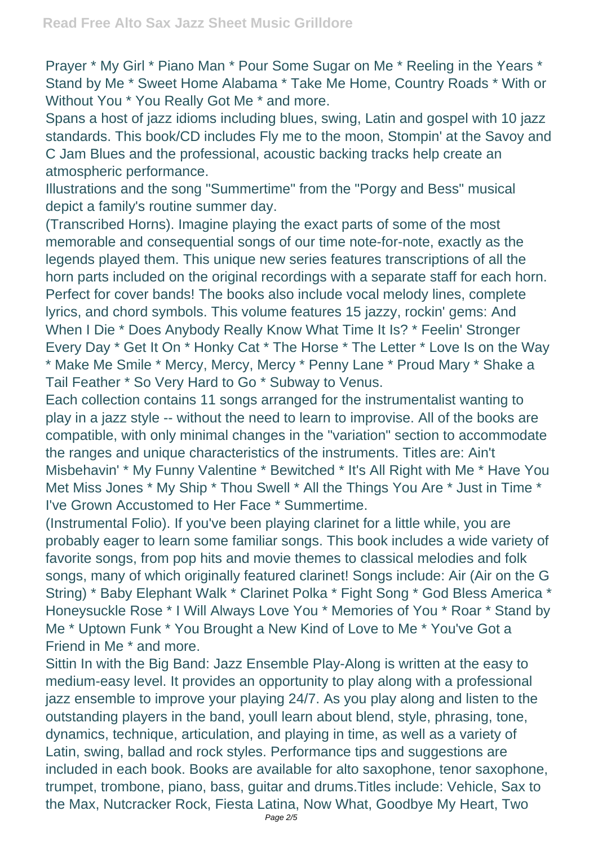Prayer \* My Girl \* Piano Man \* Pour Some Sugar on Me \* Reeling in the Years \* Stand by Me \* Sweet Home Alabama \* Take Me Home, Country Roads \* With or Without You \* You Really Got Me \* and more.

Spans a host of jazz idioms including blues, swing, Latin and gospel with 10 jazz standards. This book/CD includes Fly me to the moon, Stompin' at the Savoy and C Jam Blues and the professional, acoustic backing tracks help create an atmospheric performance.

Illustrations and the song "Summertime" from the "Porgy and Bess" musical depict a family's routine summer day.

(Transcribed Horns). Imagine playing the exact parts of some of the most memorable and consequential songs of our time note-for-note, exactly as the legends played them. This unique new series features transcriptions of all the horn parts included on the original recordings with a separate staff for each horn. Perfect for cover bands! The books also include vocal melody lines, complete lyrics, and chord symbols. This volume features 15 jazzy, rockin' gems: And When I Die \* Does Anybody Really Know What Time It Is? \* Feelin' Stronger Every Day \* Get It On \* Honky Cat \* The Horse \* The Letter \* Love Is on the Way \* Make Me Smile \* Mercy, Mercy, Mercy \* Penny Lane \* Proud Mary \* Shake a Tail Feather \* So Very Hard to Go \* Subway to Venus.

Each collection contains 11 songs arranged for the instrumentalist wanting to play in a jazz style -- without the need to learn to improvise. All of the books are compatible, with only minimal changes in the "variation" section to accommodate the ranges and unique characteristics of the instruments. Titles are: Ain't Misbehavin' \* My Funny Valentine \* Bewitched \* It's All Right with Me \* Have You Met Miss Jones \* My Ship \* Thou Swell \* All the Things You Are \* Just in Time \* I've Grown Accustomed to Her Face \* Summertime.

(Instrumental Folio). If you've been playing clarinet for a little while, you are probably eager to learn some familiar songs. This book includes a wide variety of favorite songs, from pop hits and movie themes to classical melodies and folk songs, many of which originally featured clarinet! Songs include: Air (Air on the G String) \* Baby Elephant Walk \* Clarinet Polka \* Fight Song \* God Bless America \* Honeysuckle Rose \* I Will Always Love You \* Memories of You \* Roar \* Stand by Me \* Uptown Funk \* You Brought a New Kind of Love to Me \* You've Got a Friend in Me \* and more.

Sittin In with the Big Band: Jazz Ensemble Play-Along is written at the easy to medium-easy level. It provides an opportunity to play along with a professional jazz ensemble to improve your playing 24/7. As you play along and listen to the outstanding players in the band, youll learn about blend, style, phrasing, tone, dynamics, technique, articulation, and playing in time, as well as a variety of Latin, swing, ballad and rock styles. Performance tips and suggestions are included in each book. Books are available for alto saxophone, tenor saxophone, trumpet, trombone, piano, bass, guitar and drums.Titles include: Vehicle, Sax to the Max, Nutcracker Rock, Fiesta Latina, Now What, Goodbye My Heart, Two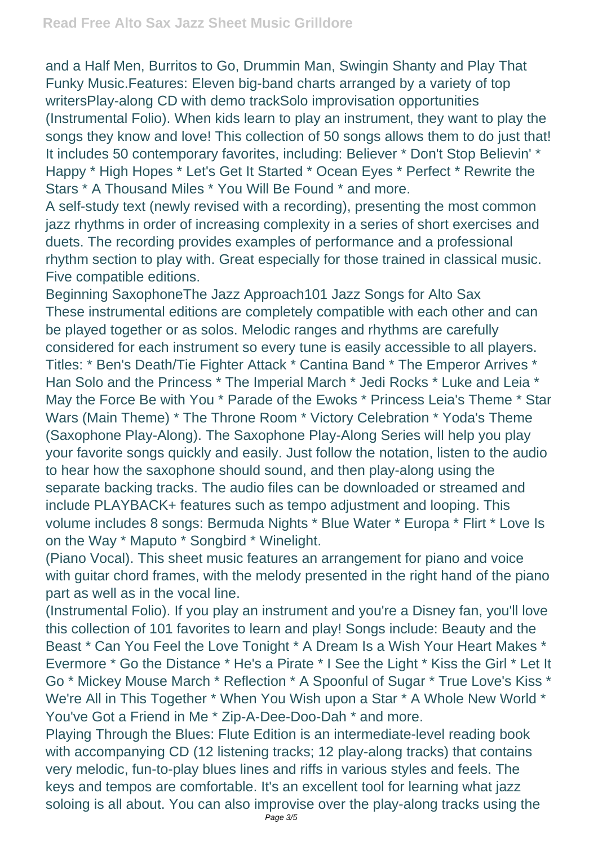and a Half Men, Burritos to Go, Drummin Man, Swingin Shanty and Play That Funky Music.Features: Eleven big-band charts arranged by a variety of top writersPlay-along CD with demo trackSolo improvisation opportunities (Instrumental Folio). When kids learn to play an instrument, they want to play the songs they know and love! This collection of 50 songs allows them to do just that! It includes 50 contemporary favorites, including: Believer \* Don't Stop Believin' \* Happy \* High Hopes \* Let's Get It Started \* Ocean Eyes \* Perfect \* Rewrite the Stars \* A Thousand Miles \* You Will Be Found \* and more.

A self-study text (newly revised with a recording), presenting the most common jazz rhythms in order of increasing complexity in a series of short exercises and duets. The recording provides examples of performance and a professional rhythm section to play with. Great especially for those trained in classical music. Five compatible editions.

Beginning SaxophoneThe Jazz Approach101 Jazz Songs for Alto Sax These instrumental editions are completely compatible with each other and can be played together or as solos. Melodic ranges and rhythms are carefully considered for each instrument so every tune is easily accessible to all players. Titles: \* Ben's Death/Tie Fighter Attack \* Cantina Band \* The Emperor Arrives \* Han Solo and the Princess \* The Imperial March \* Jedi Rocks \* Luke and Leia \* May the Force Be with You \* Parade of the Ewoks \* Princess Leia's Theme \* Star Wars (Main Theme) \* The Throne Room \* Victory Celebration \* Yoda's Theme (Saxophone Play-Along). The Saxophone Play-Along Series will help you play your favorite songs quickly and easily. Just follow the notation, listen to the audio to hear how the saxophone should sound, and then play-along using the separate backing tracks. The audio files can be downloaded or streamed and include PLAYBACK+ features such as tempo adjustment and looping. This volume includes 8 songs: Bermuda Nights \* Blue Water \* Europa \* Flirt \* Love Is on the Way \* Maputo \* Songbird \* Winelight.

(Piano Vocal). This sheet music features an arrangement for piano and voice with guitar chord frames, with the melody presented in the right hand of the piano part as well as in the vocal line.

(Instrumental Folio). If you play an instrument and you're a Disney fan, you'll love this collection of 101 favorites to learn and play! Songs include: Beauty and the Beast \* Can You Feel the Love Tonight \* A Dream Is a Wish Your Heart Makes \* Evermore \* Go the Distance \* He's a Pirate \* I See the Light \* Kiss the Girl \* Let It Go \* Mickey Mouse March \* Reflection \* A Spoonful of Sugar \* True Love's Kiss \* We're All in This Together \* When You Wish upon a Star \* A Whole New World \* You've Got a Friend in Me \* Zip-A-Dee-Doo-Dah \* and more.

Playing Through the Blues: Flute Edition is an intermediate-level reading book with accompanying CD (12 listening tracks; 12 play-along tracks) that contains very melodic, fun-to-play blues lines and riffs in various styles and feels. The keys and tempos are comfortable. It's an excellent tool for learning what jazz soloing is all about. You can also improvise over the play-along tracks using the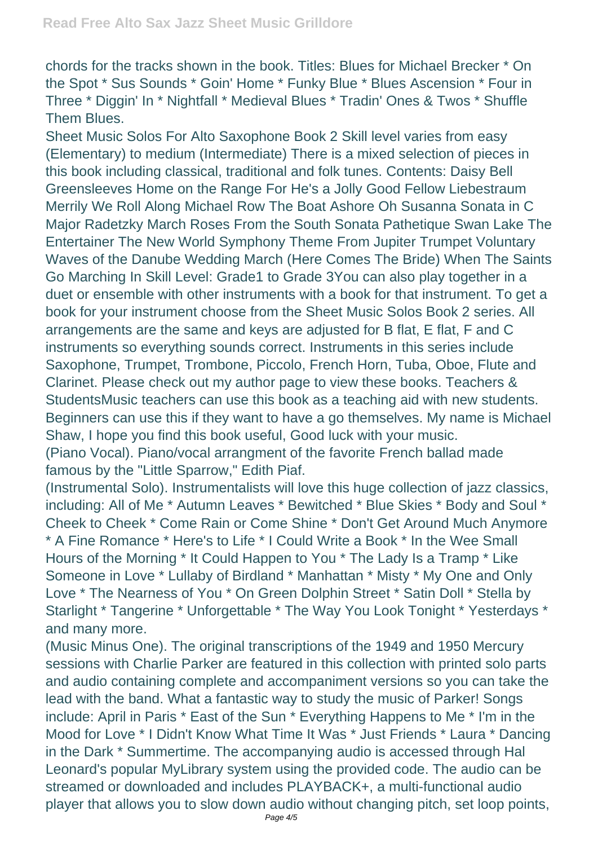chords for the tracks shown in the book. Titles: Blues for Michael Brecker \* On the Spot \* Sus Sounds \* Goin' Home \* Funky Blue \* Blues Ascension \* Four in Three \* Diggin' In \* Nightfall \* Medieval Blues \* Tradin' Ones & Twos \* Shuffle Them Blues.

Sheet Music Solos For Alto Saxophone Book 2 Skill level varies from easy (Elementary) to medium (Intermediate) There is a mixed selection of pieces in this book including classical, traditional and folk tunes. Contents: Daisy Bell Greensleeves Home on the Range For He's a Jolly Good Fellow Liebestraum Merrily We Roll Along Michael Row The Boat Ashore Oh Susanna Sonata in C Major Radetzky March Roses From the South Sonata Pathetique Swan Lake The Entertainer The New World Symphony Theme From Jupiter Trumpet Voluntary Waves of the Danube Wedding March (Here Comes The Bride) When The Saints Go Marching In Skill Level: Grade1 to Grade 3You can also play together in a duet or ensemble with other instruments with a book for that instrument. To get a book for your instrument choose from the Sheet Music Solos Book 2 series. All arrangements are the same and keys are adjusted for B flat, E flat, F and C instruments so everything sounds correct. Instruments in this series include Saxophone, Trumpet, Trombone, Piccolo, French Horn, Tuba, Oboe, Flute and Clarinet. Please check out my author page to view these books. Teachers & StudentsMusic teachers can use this book as a teaching aid with new students. Beginners can use this if they want to have a go themselves. My name is Michael Shaw, I hope you find this book useful, Good luck with your music.

(Piano Vocal). Piano/vocal arrangment of the favorite French ballad made famous by the "Little Sparrow," Edith Piaf.

(Instrumental Solo). Instrumentalists will love this huge collection of jazz classics, including: All of Me \* Autumn Leaves \* Bewitched \* Blue Skies \* Body and Soul \* Cheek to Cheek \* Come Rain or Come Shine \* Don't Get Around Much Anymore \* A Fine Romance \* Here's to Life \* I Could Write a Book \* In the Wee Small Hours of the Morning \* It Could Happen to You \* The Lady Is a Tramp \* Like Someone in Love \* Lullaby of Birdland \* Manhattan \* Misty \* My One and Only Love \* The Nearness of You \* On Green Dolphin Street \* Satin Doll \* Stella by Starlight \* Tangerine \* Unforgettable \* The Way You Look Tonight \* Yesterdays \* and many more.

(Music Minus One). The original transcriptions of the 1949 and 1950 Mercury sessions with Charlie Parker are featured in this collection with printed solo parts and audio containing complete and accompaniment versions so you can take the lead with the band. What a fantastic way to study the music of Parker! Songs include: April in Paris \* East of the Sun \* Everything Happens to Me \* I'm in the Mood for Love \* I Didn't Know What Time It Was \* Just Friends \* Laura \* Dancing in the Dark \* Summertime. The accompanying audio is accessed through Hal Leonard's popular MyLibrary system using the provided code. The audio can be streamed or downloaded and includes PLAYBACK+, a multi-functional audio player that allows you to slow down audio without changing pitch, set loop points,